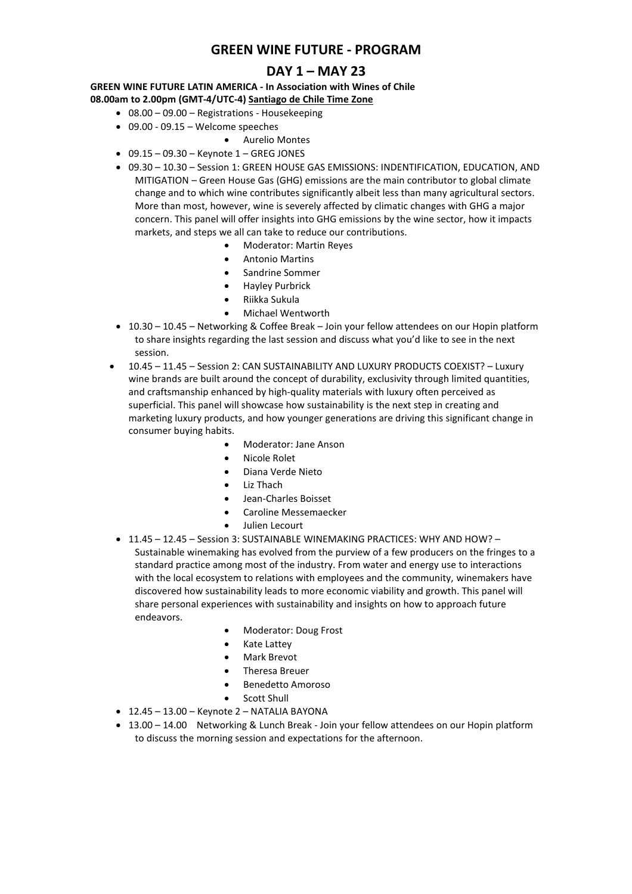## **GREEN WINE FUTURE - PROGRAM**

### **DAY 1 – MAY 23**

**GREEN WINE FUTURE LATIN AMERICA - In Association with Wines of Chile 08.00am to 2.00pm (GMT-4/UTC-4) Santiago de Chile Time Zone**

- 08.00 09.00 Registrations Housekeeping
- 09.00 09.15 Welcome speeches
	- Aurelio Montes
- $\bullet$  09.15 09.30 Keynote 1 GREG JONES
- 09.30 10.30 Session 1: GREEN HOUSE GAS EMISSIONS: INDENTIFICATION, EDUCATION, AND MITIGATION – Green House Gas (GHG) emissions are the main contributor to global climate change and to which wine contributes significantly albeit less than many agricultural sectors. More than most, however, wine is severely affected by climatic changes with GHG a major concern. This panel will offer insights into GHG emissions by the wine sector, how it impacts markets, and steps we all can take to reduce our contributions.
	- Moderator: Martin Reyes
	- Antonio Martins
	- Sandrine Sommer
	- Hayley Purbrick
	- Riikka Sukula
	- Michael Wentworth
- 10.30 10.45 Networking & Coffee Break Join your fellow attendees on our Hopin platform to share insights regarding the last session and discuss what you'd like to see in the next session.
- 10.45 11.45 Session 2: CAN SUSTAINABILITY AND LUXURY PRODUCTS COEXIST? Luxury wine brands are built around the concept of durability, exclusivity through limited quantities, and craftsmanship enhanced by high-quality materials with luxury often perceived as superficial. This panel will showcase how sustainability is the next step in creating and marketing luxury products, and how younger generations are driving this significant change in consumer buying habits.
	- Moderator: Jane Anson
	- Nicole Rolet
	- Diana Verde Nieto
	- Liz Thach
	- Jean-Charles Boisset
	- Caroline Messemaecker
	- Julien Lecourt
- 11.45 12.45 Session 3: SUSTAINABLE WINEMAKING PRACTICES: WHY AND HOW? Sustainable winemaking has evolved from the purview of a few producers on the fringes to a standard practice among most of the industry. From water and energy use to interactions with the local ecosystem to relations with employees and the community, winemakers have discovered how sustainability leads to more economic viability and growth. This panel will share personal experiences with sustainability and insights on how to approach future endeavors.
	- Moderator: Doug Frost
	- **Kate Lattey**
	- Mark Brevot
	- Theresa Breuer
	- Benedetto Amoroso
	- Scott Shull
- $\bullet$  12.45 13.00 Keynote 2 NATALIA BAYONA
- 13.00 14.00 Networking & Lunch Break Join your fellow attendees on our Hopin platform to discuss the morning session and expectations for the afternoon.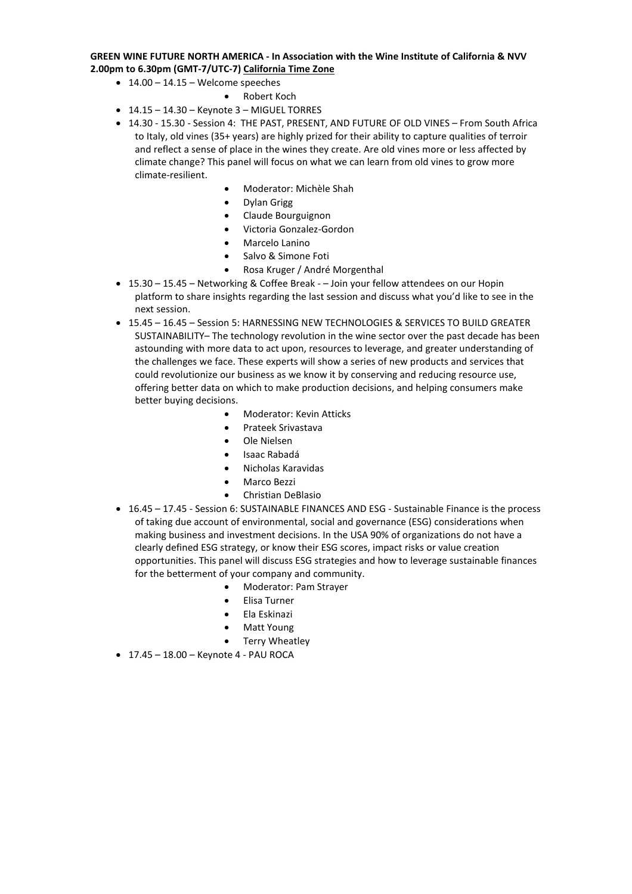### **GREEN WINE FUTURE NORTH AMERICA - In Association with the Wine Institute of California & NVV 2.00pm to 6.30pm (GMT-7/UTC-7) California Time Zone**

- $\bullet$  14.00 14.15 Welcome speeches
	- Robert Koch
- $\bullet$  14.15 14.30 Keynote 3 MIGUEL TORRES
- 14.30 15.30 Session 4: THE PAST, PRESENT, AND FUTURE OF OLD VINES From South Africa to Italy, old vines (35+ years) are highly prized for their ability to capture qualities of terroir and reflect a sense of place in the wines they create. Are old vines more or less affected by climate change? This panel will focus on what we can learn from old vines to grow more climate-resilient.
	- Moderator: Michèle Shah
	- Dylan Grigg
	- Claude Bourguignon
	- Victoria Gonzalez-Gordon
	- Marcelo Lanino
	- Salvo & Simone Foti
	- Rosa Kruger / André Morgenthal
- 15.30 15.45 Networking & Coffee Break – Join your fellow attendees on our Hopin platform to share insights regarding the last session and discuss what you'd like to see in the next session.
- 15.45 16.45 Session 5: HARNESSING NEW TECHNOLOGIES & SERVICES TO BUILD GREATER SUSTAINABILITY– The technology revolution in the wine sector over the past decade has been astounding with more data to act upon, resources to leverage, and greater understanding of the challenges we face. These experts will show a series of new products and services that could revolutionize our business as we know it by conserving and reducing resource use, offering better data on which to make production decisions, and helping consumers make better buying decisions.
	- Moderator: Kevin Atticks
	- Prateek Srivastava
	- Ole Nielsen
	- Isaac Rabadá
	- Nicholas Karavidas
	- Marco Bezzi
	- Christian DeBlasio
- 16.45 17.45 Session 6: SUSTAINABLE FINANCES AND ESG Sustainable Finance is the process of taking due account of environmental, social and governance (ESG) considerations when making business and investment decisions. In the USA 90% of organizations do not have a clearly defined ESG strategy, or know their ESG scores, impact risks or value creation opportunities. This panel will discuss ESG strategies and how to leverage sustainable finances for the betterment of your company and community.
	- Moderator: Pam Strayer
	- Elisa Turner
	- Ela Eskinazi
	- Matt Young
	- Terry Wheatley
- $\bullet$  17.45 18.00 Keynote 4 PAU ROCA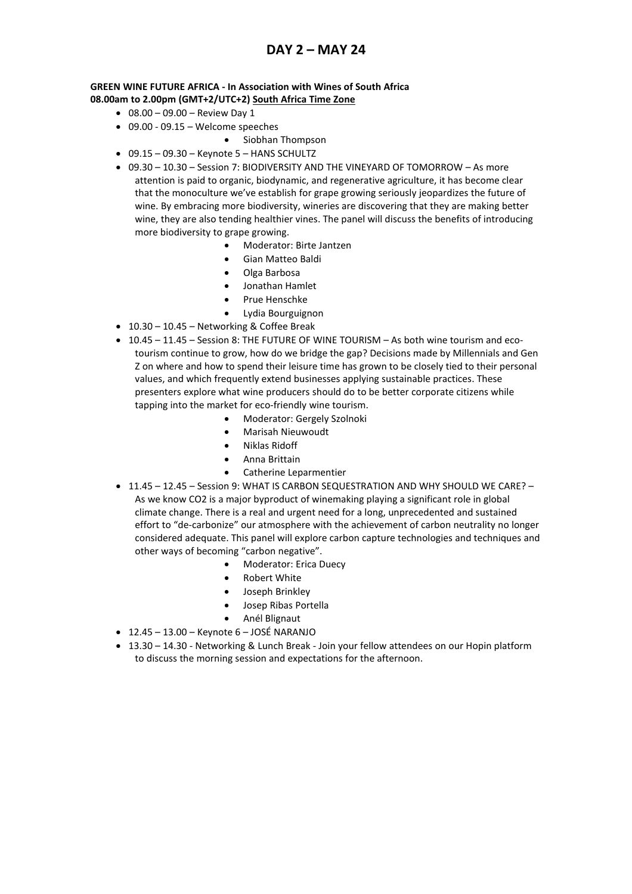## **DAY 2 – MAY 24**

### **GREEN WINE FUTURE AFRICA - In Association with Wines of South Africa 08.00am to 2.00pm (GMT+2/UTC+2) South Africa Time Zone**

- $\bullet$  08.00 09.00 Review Day 1
- 09.00 09.15 Welcome speeches
	- Siobhan Thompson
- $\bullet$  09.15 09.30 Keynote 5 HANS SCHULTZ
- 09.30 10.30 Session 7: BIODIVERSITY AND THE VINEYARD OF TOMORROW As more attention is paid to organic, biodynamic, and regenerative agriculture, it has become clear that the monoculture we've establish for grape growing seriously jeopardizes the future of wine. By embracing more biodiversity, wineries are discovering that they are making better wine, they are also tending healthier vines. The panel will discuss the benefits of introducing more biodiversity to grape growing.
	- Moderator: Birte Jantzen
	- Gian Matteo Baldi
	- Olga Barbosa
	- Jonathan Hamlet
	- Prue Henschke
	- Lydia Bourguignon
- 10.30 10.45 Networking & Coffee Break
- 10.45 11.45 Session 8: THE FUTURE OF WINE TOURISM As both wine tourism and ecotourism continue to grow, how do we bridge the gap? Decisions made by Millennials and Gen Z on where and how to spend their leisure time has grown to be closely tied to their personal values, and which frequently extend businesses applying sustainable practices. These presenters explore what wine producers should do to be better corporate citizens while tapping into the market for eco-friendly wine tourism.
	- Moderator: Gergely Szolnoki
	- Marisah Nieuwoudt
	- Niklas Ridoff
	- Anna Brittain
	- Catherine Leparmentier
- 11.45 12.45 Session 9: WHAT IS CARBON SEQUESTRATION AND WHY SHOULD WE CARE? As we know CO2 is a major byproduct of winemaking playing a significant role in global climate change. There is a real and urgent need for a long, unprecedented and sustained effort to "de-carbonize" our atmosphere with the achievement of carbon neutrality no longer considered adequate. This panel will explore carbon capture technologies and techniques and other ways of becoming "carbon negative".
	- Moderator: Erica Duecy
	- **Robert White**
	- Joseph Brinkley
	- Josep Ribas Portella
	- Anél Blignaut
- $\bullet$  12.45 13.00 Keynote 6 JOSÉ NARANJO
- 13.30 14.30 Networking & Lunch Break Join your fellow attendees on our Hopin platform to discuss the morning session and expectations for the afternoon.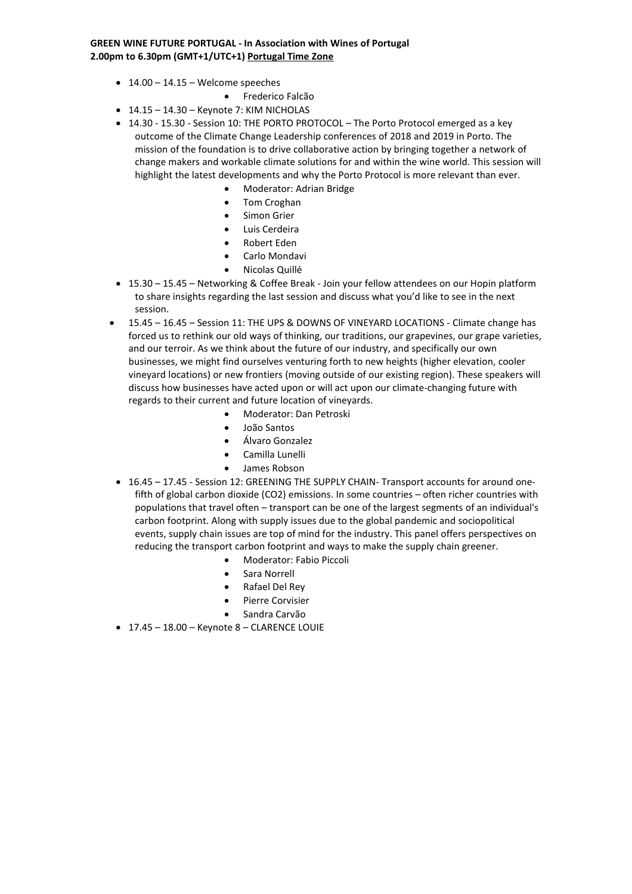### **GREEN WINE FUTURE PORTUGAL - In Association with Wines of Portugal 2.00pm to 6.30pm (GMT+1/UTC+1) Portugal Time Zone**

- $\bullet$  14.00 14.15 Welcome speeches
	- Frederico Falcão
- $\bullet$  14.15 14.30 Keynote 7: KIM NICHOLAS
- 14.30 15.30 Session 10: THE PORTO PROTOCOL The Porto Protocol emerged as a key outcome of the Climate Change Leadership conferences of 2018 and 2019 in Porto. The mission of the foundation is to drive collaborative action by bringing together a network of change makers and workable climate solutions for and within the wine world. This session will highlight the latest developments and why the Porto Protocol is more relevant than ever.
	- Moderator: Adrian Bridge
	- Tom Croghan
	- Simon Grier
	- Luis Cerdeira
	- Robert Eden
	- Carlo Mondavi
	- Nicolas Quillé
- 15.30 15.45 Networking & Coffee Break Join your fellow attendees on our Hopin platform to share insights regarding the last session and discuss what you'd like to see in the next session.
- 15.45 16.45 Session 11: THE UPS & DOWNS OF VINEYARD LOCATIONS Climate change has forced us to rethink our old ways of thinking, our traditions, our grapevines, our grape varieties, and our terroir. As we think about the future of our industry, and specifically our own businesses, we might find ourselves venturing forth to new heights (higher elevation, cooler vineyard locations) or new frontiers (moving outside of our existing region). These speakers will discuss how businesses have acted upon or will act upon our climate-changing future with regards to their current and future location of vineyards.
	- Moderator: Dan Petroski
	- João Santos
	- Álvaro Gonzalez
	- Camilla Lunelli
	- James Robson
- 16.45 17.45 Session 12: GREENING THE SUPPLY CHAIN- Transport accounts for around onefifth of global carbon dioxide (CO2) emissions. In some countries – often richer countries with populations that travel often – transport can be one of the largest segments of an individual's carbon footprint. Along with supply issues due to the global pandemic and sociopolitical events, supply chain issues are top of mind for the industry. This panel offers perspectives on reducing the transport carbon footprint and ways to make the supply chain greener.
	- Moderator: Fabio Piccoli
	- Sara Norrell
	- Rafael Del Rey
	- Pierre Corvisier
	- Sandra Carvão
- 17.45 18.00 Keynote 8 CLARENCE LOUIE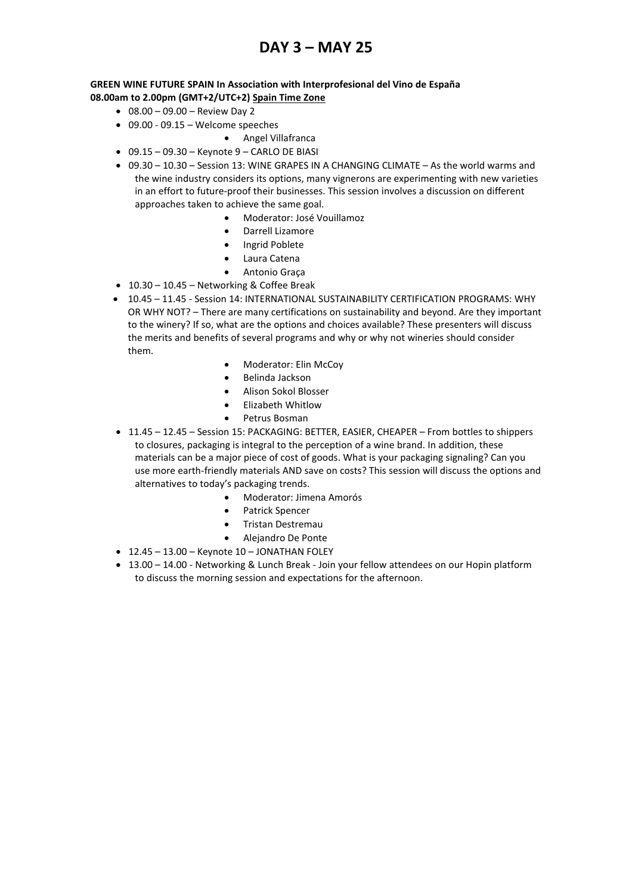# **DAY 3 – MAY 25**

### **GREEN WINE FUTURE SPAIN In Association with Interprofesional del Vino de España 08.00am to 2.00pm (GMT+2/UTC+2) Spain Time Zone**

- $\bullet$  08.00 09.00 Review Day 2
- 09.00 09.15 Welcome speeches
	- Angel Villafranca
- $\bullet$  09.15 09.30 Keynote 9 CARLO DE BIASI
- 09.30 10.30 Session 13: WINE GRAPES IN A CHANGING CLIMATE As the world warms and the wine industry considers its options, many vignerons are experimenting with new varieties in an effort to future-proof their businesses. This session involves a discussion on different approaches taken to achieve the same goal.
	- Moderator: José Vouillamoz
	- Darrell Lizamore
	- Ingrid Poblete
	- Laura Catena
	- Antonio Graça
- 10.30 10.45 Networking & Coffee Break
- 10.45 11.45 Session 14: INTERNATIONAL SUSTAINABILITY CERTIFICATION PROGRAMS: WHY OR WHY NOT? – There are many certifications on sustainability and beyond. Are they important to the winery? If so, what are the options and choices available? These presenters will discuss the merits and benefits of several programs and why or why not wineries should consider them.
	- Moderator: Elin McCoy
	- Belinda Jackson
	- Alison Sokol Blosser
	- Elizabeth Whitlow
	- Petrus Bosman
- 11.45 12.45 Session 15: PACKAGING: BETTER, EASIER, CHEAPER From bottles to shippers to closures, packaging is integral to the perception of a wine brand. In addition, these materials can be a major piece of cost of goods. What is your packaging signaling? Can you use more earth-friendly materials AND save on costs? This session will discuss the options and alternatives to today's packaging trends.
	- Moderator: Jimena Amorós
	- Patrick Spencer
	- Tristan Destremau
	- Alejandro De Ponte
- $\bullet$  12.45 13.00 Keynote 10 JONATHAN FOLEY
- 13.00 14.00 Networking & Lunch Break Join your fellow attendees on our Hopin platform to discuss the morning session and expectations for the afternoon.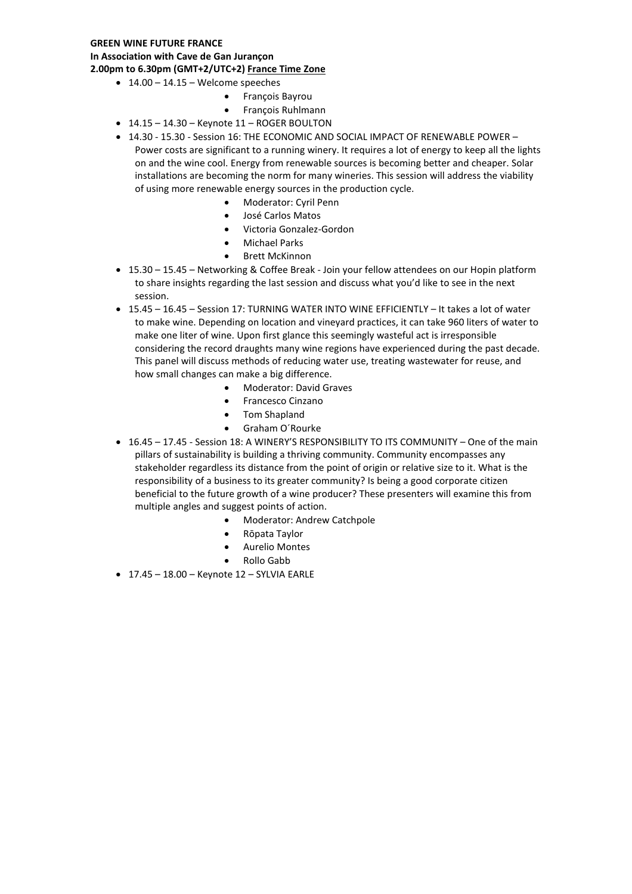### **GREEN WINE FUTURE FRANCE**

**In Association with Cave de Gan Jurançon**

**2.00pm to 6.30pm (GMT+2/UTC+2) France Time Zone**

- $\bullet$  14.00 14.15 Welcome speeches
	- François Bayrou
	- François Ruhlmann
- 14.15 14.30 Keynote 11 ROGER BOULTON
- 14.30 15.30 Session 16: THE ECONOMIC AND SOCIAL IMPACT OF RENEWABLE POWER Power costs are significant to a running winery. It requires a lot of energy to keep all the lights on and the wine cool. Energy from renewable sources is becoming better and cheaper. Solar installations are becoming the norm for many wineries. This session will address the viability of using more renewable energy sources in the production cycle.
	- Moderator: Cyril Penn
	- José Carlos Matos
	- Victoria Gonzalez-Gordon
	- Michael Parks
	- Brett McKinnon
- 15.30 15.45 Networking & Coffee Break Join your fellow attendees on our Hopin platform to share insights regarding the last session and discuss what you'd like to see in the next session.
- 15.45 16.45 Session 17: TURNING WATER INTO WINE EFFICIENTLY It takes a lot of water to make wine. Depending on location and vineyard practices, it can take 960 liters of water to make one liter of wine. Upon first glance this seemingly wasteful act is irresponsible considering the record draughts many wine regions have experienced during the past decade. This panel will discuss methods of reducing water use, treating wastewater for reuse, and how small changes can make a big difference.
	- Moderator: David Graves
	- Francesco Cinzano
	- Tom Shapland
	- Graham O´Rourke
- 16.45 17.45 Session 18: A WINERY'S RESPONSIBILITY TO ITS COMMUNITY One of the main pillars of sustainability is building a thriving community. Community encompasses any stakeholder regardless its distance from the point of origin or relative size to it. What is the responsibility of a business to its greater community? Is being a good corporate citizen beneficial to the future growth of a wine producer? These presenters will examine this from multiple angles and suggest points of action.
	- Moderator: Andrew Catchpole
	- Rōpata Taylor
	- Aurelio Montes
	- Rollo Gabb
- $\bullet$  17.45 18.00 Keynote 12 SYLVIA EARLE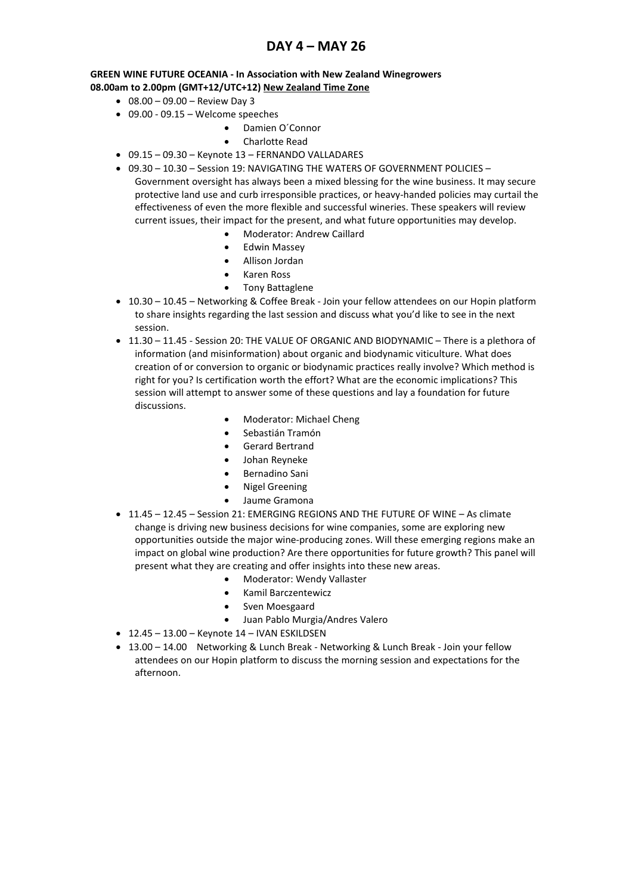## **DAY 4 – MAY 26**

### **GREEN WINE FUTURE OCEANIA - In Association with New Zealand Winegrowers 08.00am to 2.00pm (GMT+12/UTC+12) New Zealand Time Zone**

- $\bullet$  08.00 09.00 Review Day 3
- $\bullet$  09.00 09.15 Welcome speeches
	- Damien O´Connor
	- Charlotte Read
- 09.15 09.30 Keynote 13 FERNANDO VALLADARES
- 09.30 10.30 Session 19: NAVIGATING THE WATERS OF GOVERNMENT POLICIES Government oversight has always been a mixed blessing for the wine business. It may secure protective land use and curb irresponsible practices, or heavy-handed policies may curtail the effectiveness of even the more flexible and successful wineries. These speakers will review current issues, their impact for the present, and what future opportunities may develop.
	- Moderator: Andrew Caillard
	- Edwin Massey
	- Allison Jordan
	- Karen Ross
	- Tony Battaglene
- 10.30 10.45 Networking & Coffee Break Join your fellow attendees on our Hopin platform to share insights regarding the last session and discuss what you'd like to see in the next session.
- 11.30 11.45 Session 20: THE VALUE OF ORGANIC AND BIODYNAMIC There is a plethora of information (and misinformation) about organic and biodynamic viticulture. What does creation of or conversion to organic or biodynamic practices really involve? Which method is right for you? Is certification worth the effort? What are the economic implications? This session will attempt to answer some of these questions and lay a foundation for future discussions.
	- Moderator: Michael Cheng
	- Sebastián Tramón
	- Gerard Bertrand
	- Johan Reyneke
	- Bernadino Sani
	- Nigel Greening
	- Jaume Gramona
- 11.45 12.45 Session 21: EMERGING REGIONS AND THE FUTURE OF WINE As climate change is driving new business decisions for wine companies, some are exploring new opportunities outside the major wine-producing zones. Will these emerging regions make an impact on global wine production? Are there opportunities for future growth? This panel will present what they are creating and offer insights into these new areas.
	- Moderator: Wendy Vallaster
	- Kamil Barczentewicz
	- Sven Moesgaard
	- Juan Pablo Murgia/Andres Valero
- $\bullet$  12.45 13.00 Keynote 14 IVAN ESKILDSEN
- 13.00 14.00 Networking & Lunch Break Networking & Lunch Break Join your fellow attendees on our Hopin platform to discuss the morning session and expectations for the afternoon.